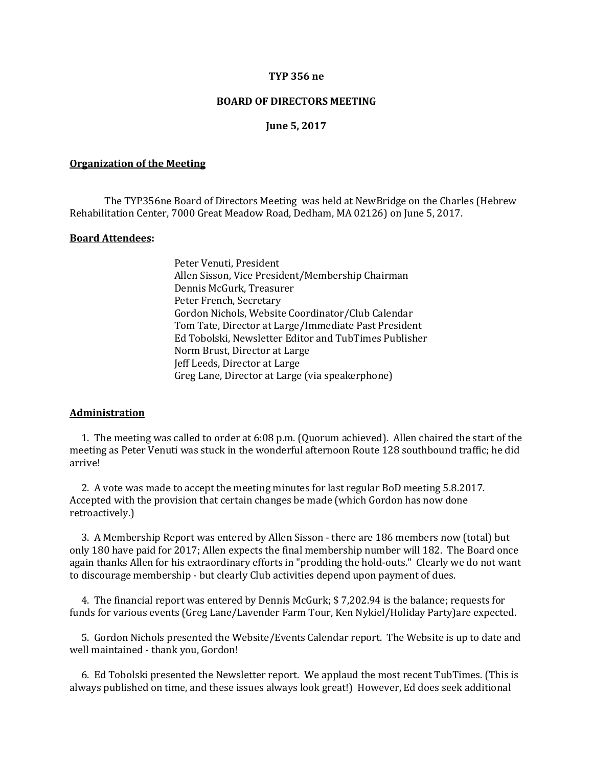#### **TYP 356 ne**

### **BOARD OF DIRECTORS MEETING**

### **June 5, 2017**

#### **Organization of the Meeting**

The TYP356ne Board of Directors Meeting was held at NewBridge on the Charles (Hebrew Rehabilitation Center, 7000 Great Meadow Road, Dedham, MA 02126) on June 5, 2017.

#### **Board Attendees:**

Peter Venuti, President Allen Sisson, Vice President/Membership Chairman Dennis McGurk, Treasurer Peter French, Secretary Gordon Nichols, Website Coordinator/Club Calendar Tom Tate, Director at Large/Immediate Past President Ed Tobolski, Newsletter Editor and TubTimes Publisher Norm Brust, Director at Large Jeff Leeds, Director at Large Greg Lane, Director at Large (via speakerphone)

#### **Administration**

 1. The meeting was called to order at 6:08 p.m. (Quorum achieved). Allen chaired the start of the meeting as Peter Venuti was stuck in the wonderful afternoon Route 128 southbound traffic; he did arrive!

 2. A vote was made to accept the meeting minutes for last regular BoD meeting 5.8.2017. Accepted with the provision that certain changes be made (which Gordon has now done retroactively.)

 3. A Membership Report was entered by Allen Sisson - there are 186 members now (total) but only 180 have paid for 2017; Allen expects the final membership number will 182. The Board once again thanks Allen for his extraordinary efforts in "prodding the hold-outs." Clearly we do not want to discourage membership - but clearly Club activities depend upon payment of dues.

 4. The financial report was entered by Dennis McGurk; \$ 7,202.94 is the balance; requests for funds for various events (Greg Lane/Lavender Farm Tour, Ken Nykiel/Holiday Party)are expected.

 5. Gordon Nichols presented the Website/Events Calendar report. The Website is up to date and well maintained - thank you, Gordon!

 6. Ed Tobolski presented the Newsletter report. We applaud the most recent TubTimes. (This is always published on time, and these issues always look great!) However, Ed does seek additional